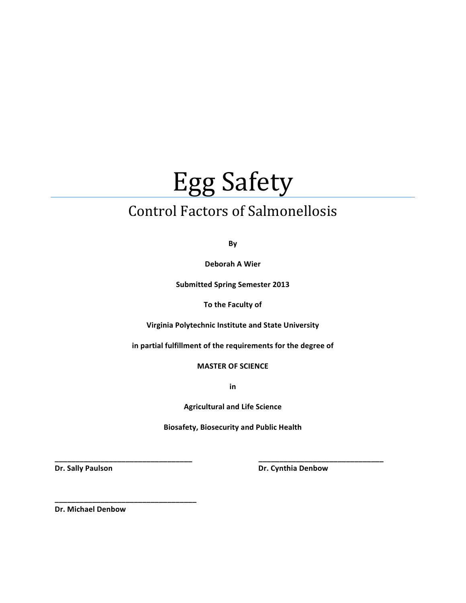# **Egg Safety**

# Control Factors of Salmonellosis

**By**

**Deborah A Wier** 

**Submitted Spring Semester 2013** 

**To the Faculty of** 

**Virginia Polytechnic Institute and State University** 

in partial fulfillment of the requirements for the degree of

**MASTER OF SCIENCE** 

**in**

**Agricultural and Life Science** 

**Biosafety, Biosecurity and Public Health** 

**\_\_\_\_\_\_\_\_\_\_\_\_\_\_\_\_\_\_\_\_\_\_\_\_\_\_\_\_\_\_\_\_\_###################################\_\_\_\_\_\_\_\_\_\_\_\_\_\_\_\_\_\_\_\_\_\_\_\_\_\_\_\_\_\_**

**Dr.#Sally#Paulson#############################################################################Dr.#Cynthia#Denbow**

**Dr. Michael Denbow** 

**\_\_\_\_\_\_\_\_\_\_\_\_\_\_\_\_\_\_\_\_\_\_\_\_\_\_\_\_\_\_\_\_\_\_**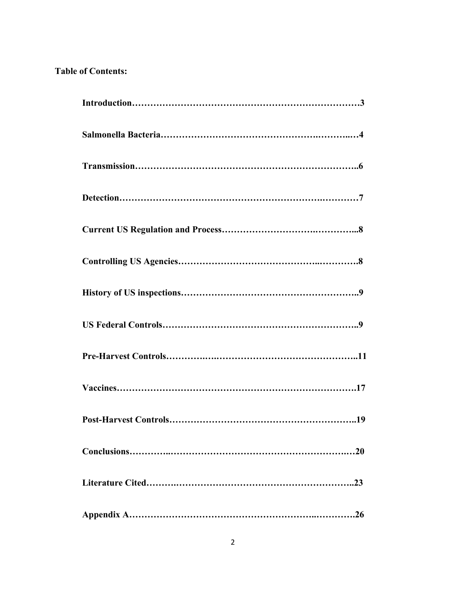# **Table of Contents:**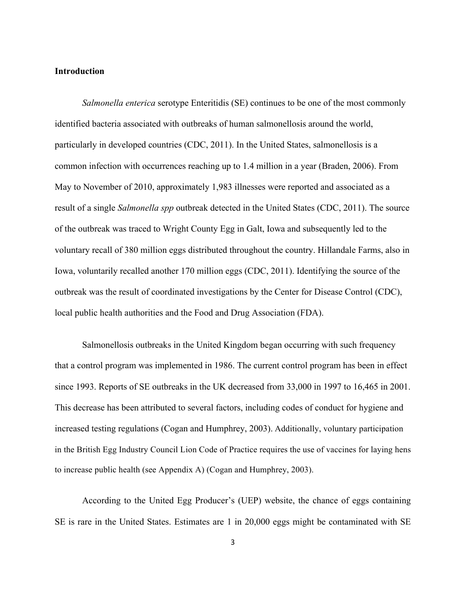# **Introduction**

*Salmonella enterica* serotype Enteritidis (SE) continues to be one of the most commonly identified bacteria associated with outbreaks of human salmonellosis around the world, particularly in developed countries (CDC, 2011). In the United States, salmonellosis is a common infection with occurrences reaching up to 1.4 million in a year (Braden, 2006). From May to November of 2010, approximately 1,983 illnesses were reported and associated as a result of a single *Salmonella spp* outbreak detected in the United States (CDC, 2011). The source of the outbreak was traced to Wright County Egg in Galt, Iowa and subsequently led to the voluntary recall of 380 million eggs distributed throughout the country. Hillandale Farms, also in Iowa, voluntarily recalled another 170 million eggs (CDC, 2011). Identifying the source of the outbreak was the result of coordinated investigations by the Center for Disease Control (CDC), local public health authorities and the Food and Drug Association (FDA).

Salmonellosis outbreaks in the United Kingdom began occurring with such frequency that a control program was implemented in 1986. The current control program has been in effect since 1993. Reports of SE outbreaks in the UK decreased from 33,000 in 1997 to 16,465 in 2001. This decrease has been attributed to several factors, including codes of conduct for hygiene and increased testing regulations (Cogan and Humphrey, 2003). Additionally, voluntary participation in the British Egg Industry Council Lion Code of Practice requires the use of vaccines for laying hens to increase public health (see Appendix A) (Cogan and Humphrey, 2003).

According to the United Egg Producer's (UEP) website, the chance of eggs containing SE is rare in the United States. Estimates are 1 in 20,000 eggs might be contaminated with SE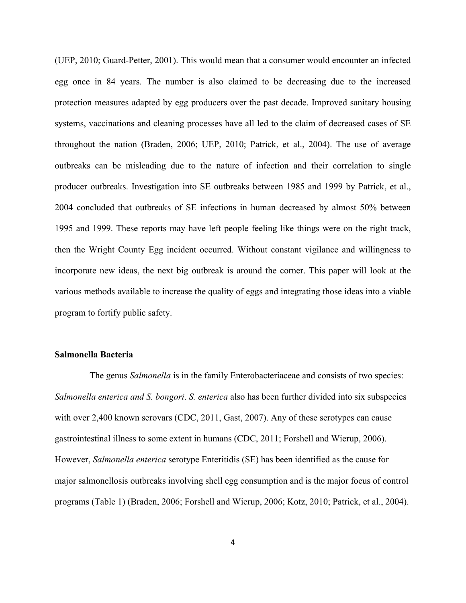(UEP, 2010; Guard-Petter, 2001). This would mean that a consumer would encounter an infected egg once in 84 years. The number is also claimed to be decreasing due to the increased protection measures adapted by egg producers over the past decade. Improved sanitary housing systems, vaccinations and cleaning processes have all led to the claim of decreased cases of SE throughout the nation (Braden, 2006; UEP, 2010; Patrick, et al., 2004). The use of average outbreaks can be misleading due to the nature of infection and their correlation to single producer outbreaks. Investigation into SE outbreaks between 1985 and 1999 by Patrick, et al., 2004 concluded that outbreaks of SE infections in human decreased by almost 50% between 1995 and 1999. These reports may have left people feeling like things were on the right track, then the Wright County Egg incident occurred. Without constant vigilance and willingness to incorporate new ideas, the next big outbreak is around the corner. This paper will look at the various methods available to increase the quality of eggs and integrating those ideas into a viable program to fortify public safety.

#### **Salmonella Bacteria**

The genus *Salmonella* is in the family Enterobacteriaceae and consists of two species: *Salmonella enterica and S. bongori*. *S. enterica* also has been further divided into six subspecies with over 2,400 known serovars (CDC, 2011, Gast, 2007). Any of these serotypes can cause gastrointestinal illness to some extent in humans (CDC, 2011; Forshell and Wierup, 2006). However, *Salmonella enterica* serotype Enteritidis (SE) has been identified as the cause for major salmonellosis outbreaks involving shell egg consumption and is the major focus of control programs (Table 1) (Braden, 2006; Forshell and Wierup, 2006; Kotz, 2010; Patrick, et al., 2004).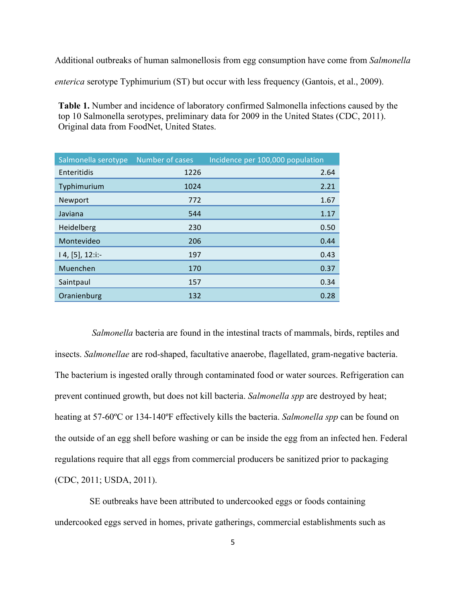Additional outbreaks of human salmonellosis from egg consumption have come from *Salmonella* 

*enterica* serotype Typhimurium (ST) but occur with less frequency (Gantois, et al., 2009).

**Table 1.** Number and incidence of laboratory confirmed Salmonella infections caused by the top 10 Salmonella serotypes, preliminary data for 2009 in the United States (CDC, 2011). Original data from FoodNet, United States.

| Salmonella serotype | Number of cases | Incidence per 100,000 population |
|---------------------|-----------------|----------------------------------|
| Enteritidis         | 1226            | 2.64                             |
| Typhimurium         | 1024            | 2.21                             |
| Newport             | 772             | 1.67                             |
| Javiana             | 544             | 1.17                             |
| Heidelberg          | 230             | 0.50                             |
| Montevideo          | 206             | 0.44                             |
| $14, [5], 12$ :i:-  | 197             | 0.43                             |
| Muenchen            | 170             | 0.37                             |
| Saintpaul           | 157             | 0.34                             |
| Oranienburg         | 132             | 0.28                             |

*Salmonella* bacteria are found in the intestinal tracts of mammals, birds, reptiles and insects. *Salmonellae* are rod-shaped, facultative anaerobe, flagellated, gram-negative bacteria. The bacterium is ingested orally through contaminated food or water sources. Refrigeration can prevent continued growth, but does not kill bacteria. *Salmonella spp* are destroyed by heat; heating at 57-60ºC or 134-140ºF effectively kills the bacteria. *Salmonella spp* can be found on the outside of an egg shell before washing or can be inside the egg from an infected hen. Federal regulations require that all eggs from commercial producers be sanitized prior to packaging (CDC, 2011; USDA, 2011).

SE outbreaks have been attributed to undercooked eggs or foods containing undercooked eggs served in homes, private gatherings, commercial establishments such as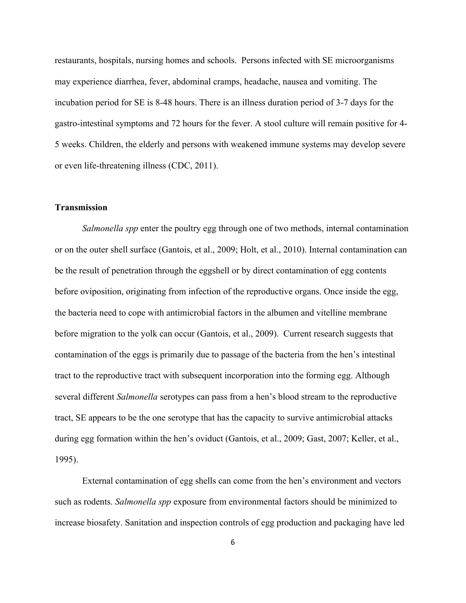restaurants, hospitals, nursing homes and schools. Persons infected with SE microorganisms may experience diarrhea, fever, abdominal cramps, headache, nausea and vomiting. The incubation period for SE is 8-48 hours. There is an illness duration period of 3-7 days for the gastro-intestinal symptoms and 72 hours for the fever. A stool culture will remain positive for 4- 5 weeks. Children, the elderly and persons with weakened immune systems may develop severe or even life-threatening illness (CDC, 2011).

# **Transmission**

*Salmonella spp* enter the poultry egg through one of two methods, internal contamination or on the outer shell surface (Gantois, et al., 2009; Holt, et al., 2010). Internal contamination can be the result of penetration through the eggshell or by direct contamination of egg contents before oviposition, originating from infection of the reproductive organs. Once inside the egg, the bacteria need to cope with antimicrobial factors in the albumen and vitelline membrane before migration to the yolk can occur (Gantois, et al., 2009). Current research suggests that contamination of the eggs is primarily due to passage of the bacteria from the hen's intestinal tract to the reproductive tract with subsequent incorporation into the forming egg. Although several different *Salmonella* serotypes can pass from a hen's blood stream to the reproductive tract, SE appears to be the one serotype that has the capacity to survive antimicrobial attacks during egg formation within the hen's oviduct (Gantois, et al., 2009; Gast, 2007; Keller, et al., 1995).

External contamination of egg shells can come from the hen's environment and vectors such as rodents. *Salmonella spp* exposure from environmental factors should be minimized to increase biosafety. Sanitation and inspection controls of egg production and packaging have led

6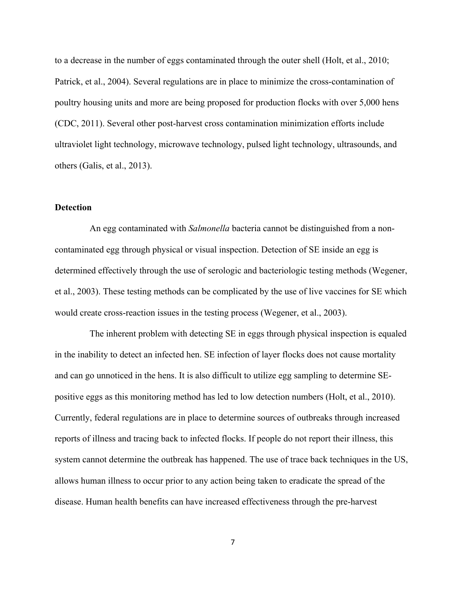to a decrease in the number of eggs contaminated through the outer shell (Holt, et al., 2010; Patrick, et al., 2004). Several regulations are in place to minimize the cross-contamination of poultry housing units and more are being proposed for production flocks with over 5,000 hens (CDC, 2011). Several other post-harvest cross contamination minimization efforts include ultraviolet light technology, microwave technology, pulsed light technology, ultrasounds, and others (Galis, et al., 2013).

#### **Detection**

An egg contaminated with *Salmonella* bacteria cannot be distinguished from a noncontaminated egg through physical or visual inspection. Detection of SE inside an egg is determined effectively through the use of serologic and bacteriologic testing methods (Wegener, et al., 2003). These testing methods can be complicated by the use of live vaccines for SE which would create cross-reaction issues in the testing process (Wegener, et al., 2003).

The inherent problem with detecting SE in eggs through physical inspection is equaled in the inability to detect an infected hen. SE infection of layer flocks does not cause mortality and can go unnoticed in the hens. It is also difficult to utilize egg sampling to determine SEpositive eggs as this monitoring method has led to low detection numbers (Holt, et al., 2010). Currently, federal regulations are in place to determine sources of outbreaks through increased reports of illness and tracing back to infected flocks. If people do not report their illness, this system cannot determine the outbreak has happened. The use of trace back techniques in the US, allows human illness to occur prior to any action being taken to eradicate the spread of the disease. Human health benefits can have increased effectiveness through the pre-harvest

7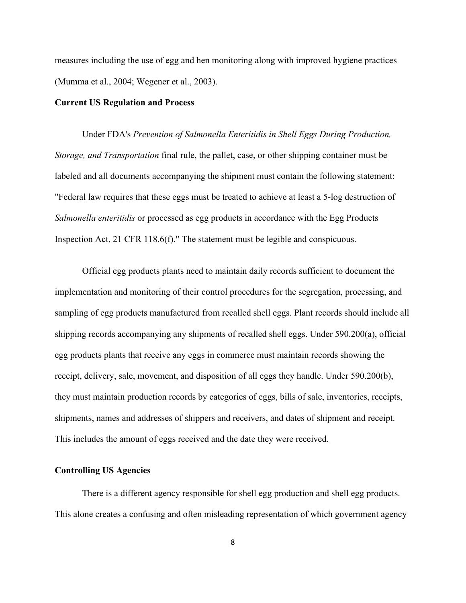measures including the use of egg and hen monitoring along with improved hygiene practices (Mumma et al., 2004; Wegener et al., 2003).

#### **Current US Regulation and Process**

Under FDA's *Prevention of Salmonella Enteritidis in Shell Eggs During Production, Storage, and Transportation* final rule, the pallet, case, or other shipping container must be labeled and all documents accompanying the shipment must contain the following statement: "Federal law requires that these eggs must be treated to achieve at least a 5-log destruction of *Salmonella enteritidis* or processed as egg products in accordance with the Egg Products Inspection Act, 21 CFR 118.6(f)." The statement must be legible and conspicuous.

Official egg products plants need to maintain daily records sufficient to document the implementation and monitoring of their control procedures for the segregation, processing, and sampling of egg products manufactured from recalled shell eggs. Plant records should include all shipping records accompanying any shipments of recalled shell eggs. Under 590.200(a), official egg products plants that receive any eggs in commerce must maintain records showing the receipt, delivery, sale, movement, and disposition of all eggs they handle. Under 590.200(b), they must maintain production records by categories of eggs, bills of sale, inventories, receipts, shipments, names and addresses of shippers and receivers, and dates of shipment and receipt. This includes the amount of eggs received and the date they were received.

# **Controlling US Agencies**

There is a different agency responsible for shell egg production and shell egg products. This alone creates a confusing and often misleading representation of which government agency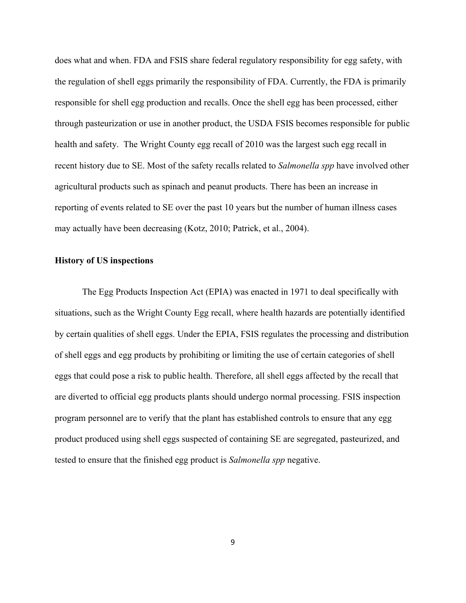does what and when. FDA and FSIS share federal regulatory responsibility for egg safety, with the regulation of shell eggs primarily the responsibility of FDA. Currently, the FDA is primarily responsible for shell egg production and recalls. Once the shell egg has been processed, either through pasteurization or use in another product, the USDA FSIS becomes responsible for public health and safety. The Wright County egg recall of 2010 was the largest such egg recall in recent history due to SE. Most of the safety recalls related to *Salmonella spp* have involved other agricultural products such as spinach and peanut products. There has been an increase in reporting of events related to SE over the past 10 years but the number of human illness cases may actually have been decreasing (Kotz, 2010; Patrick, et al., 2004).

# **History of US inspections**

The Egg Products Inspection Act (EPIA) was enacted in 1971 to deal specifically with situations, such as the Wright County Egg recall, where health hazards are potentially identified by certain qualities of shell eggs. Under the EPIA, FSIS regulates the processing and distribution of shell eggs and egg products by prohibiting or limiting the use of certain categories of shell eggs that could pose a risk to public health. Therefore, all shell eggs affected by the recall that are diverted to official egg products plants should undergo normal processing. FSIS inspection program personnel are to verify that the plant has established controls to ensure that any egg product produced using shell eggs suspected of containing SE are segregated, pasteurized, and tested to ensure that the finished egg product is *Salmonella spp* negative.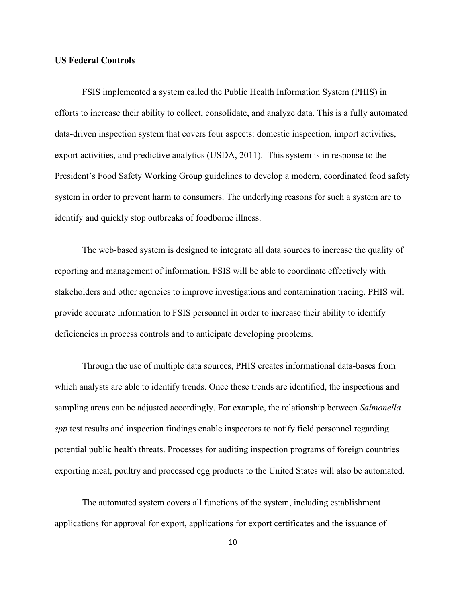#### **US Federal Controls**

FSIS implemented a system called the Public Health Information System (PHIS) in efforts to increase their ability to collect, consolidate, and analyze data. This is a fully automated data-driven inspection system that covers four aspects: domestic inspection, import activities, export activities, and predictive analytics (USDA, 2011). This system is in response to the President's Food Safety Working Group guidelines to develop a modern, coordinated food safety system in order to prevent harm to consumers. The underlying reasons for such a system are to identify and quickly stop outbreaks of foodborne illness.

The web-based system is designed to integrate all data sources to increase the quality of reporting and management of information. FSIS will be able to coordinate effectively with stakeholders and other agencies to improve investigations and contamination tracing. PHIS will provide accurate information to FSIS personnel in order to increase their ability to identify deficiencies in process controls and to anticipate developing problems.

Through the use of multiple data sources, PHIS creates informational data-bases from which analysts are able to identify trends. Once these trends are identified, the inspections and sampling areas can be adjusted accordingly. For example, the relationship between *Salmonella spp* test results and inspection findings enable inspectors to notify field personnel regarding potential public health threats. Processes for auditing inspection programs of foreign countries exporting meat, poultry and processed egg products to the United States will also be automated.

The automated system covers all functions of the system, including establishment applications for approval for export, applications for export certificates and the issuance of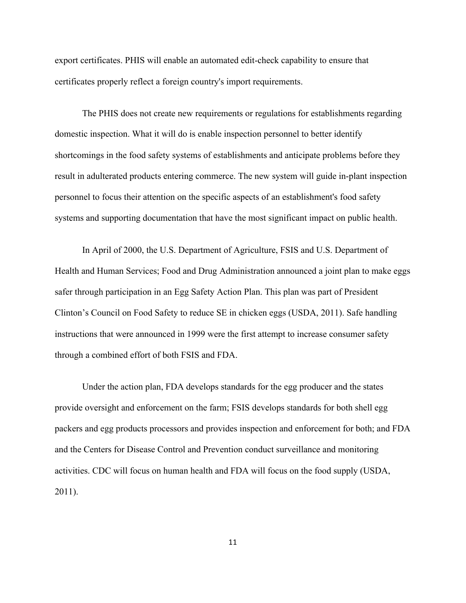export certificates. PHIS will enable an automated edit-check capability to ensure that certificates properly reflect a foreign country's import requirements.

The PHIS does not create new requirements or regulations for establishments regarding domestic inspection. What it will do is enable inspection personnel to better identify shortcomings in the food safety systems of establishments and anticipate problems before they result in adulterated products entering commerce. The new system will guide in-plant inspection personnel to focus their attention on the specific aspects of an establishment's food safety systems and supporting documentation that have the most significant impact on public health.

In April of 2000, the U.S. Department of Agriculture, FSIS and U.S. Department of Health and Human Services; Food and Drug Administration announced a joint plan to make eggs safer through participation in an Egg Safety Action Plan. This plan was part of President Clinton's Council on Food Safety to reduce SE in chicken eggs (USDA, 2011). Safe handling instructions that were announced in 1999 were the first attempt to increase consumer safety through a combined effort of both FSIS and FDA.

Under the action plan, FDA develops standards for the egg producer and the states provide oversight and enforcement on the farm; FSIS develops standards for both shell egg packers and egg products processors and provides inspection and enforcement for both; and FDA and the Centers for Disease Control and Prevention conduct surveillance and monitoring activities. CDC will focus on human health and FDA will focus on the food supply (USDA, 2011).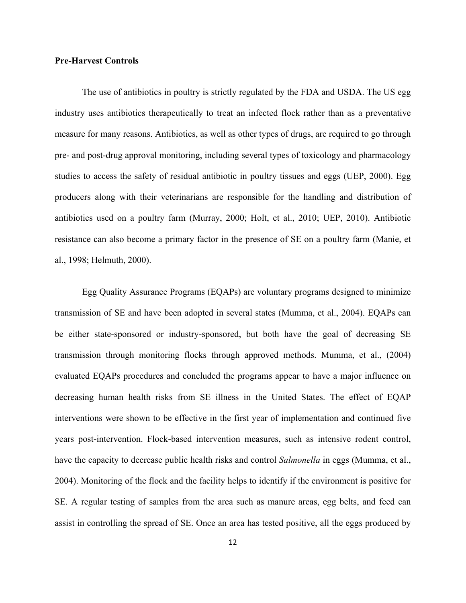# **Pre-Harvest Controls**

The use of antibiotics in poultry is strictly regulated by the FDA and USDA. The US egg industry uses antibiotics therapeutically to treat an infected flock rather than as a preventative measure for many reasons. Antibiotics, as well as other types of drugs, are required to go through pre- and post-drug approval monitoring, including several types of toxicology and pharmacology studies to access the safety of residual antibiotic in poultry tissues and eggs (UEP, 2000). Egg producers along with their veterinarians are responsible for the handling and distribution of antibiotics used on a poultry farm (Murray, 2000; Holt, et al., 2010; UEP, 2010). Antibiotic resistance can also become a primary factor in the presence of SE on a poultry farm (Manie, et al., 1998; Helmuth, 2000).

Egg Quality Assurance Programs (EQAPs) are voluntary programs designed to minimize transmission of SE and have been adopted in several states (Mumma, et al., 2004). EQAPs can be either state-sponsored or industry-sponsored, but both have the goal of decreasing SE transmission through monitoring flocks through approved methods. Mumma, et al., (2004) evaluated EQAPs procedures and concluded the programs appear to have a major influence on decreasing human health risks from SE illness in the United States. The effect of EQAP interventions were shown to be effective in the first year of implementation and continued five years post-intervention. Flock-based intervention measures, such as intensive rodent control, have the capacity to decrease public health risks and control *Salmonella* in eggs (Mumma, et al., 2004). Monitoring of the flock and the facility helps to identify if the environment is positive for SE. A regular testing of samples from the area such as manure areas, egg belts, and feed can assist in controlling the spread of SE. Once an area has tested positive, all the eggs produced by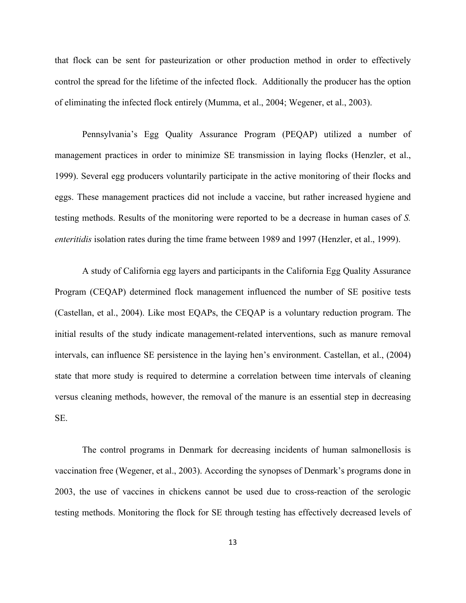that flock can be sent for pasteurization or other production method in order to effectively control the spread for the lifetime of the infected flock. Additionally the producer has the option of eliminating the infected flock entirely (Mumma, et al., 2004; Wegener, et al., 2003).

Pennsylvania's Egg Quality Assurance Program (PEQAP) utilized a number of management practices in order to minimize SE transmission in laying flocks (Henzler, et al., 1999). Several egg producers voluntarily participate in the active monitoring of their flocks and eggs. These management practices did not include a vaccine, but rather increased hygiene and testing methods. Results of the monitoring were reported to be a decrease in human cases of *S. enteritidis* isolation rates during the time frame between 1989 and 1997 (Henzler, et al., 1999).

A study of California egg layers and participants in the California Egg Quality Assurance Program (CEQAP) determined flock management influenced the number of SE positive tests (Castellan, et al., 2004). Like most EQAPs, the CEQAP is a voluntary reduction program. The initial results of the study indicate management-related interventions, such as manure removal intervals, can influence SE persistence in the laying hen's environment. Castellan, et al., (2004) state that more study is required to determine a correlation between time intervals of cleaning versus cleaning methods, however, the removal of the manure is an essential step in decreasing SE.

The control programs in Denmark for decreasing incidents of human salmonellosis is vaccination free (Wegener, et al., 2003). According the synopses of Denmark's programs done in 2003, the use of vaccines in chickens cannot be used due to cross-reaction of the serologic testing methods. Monitoring the flock for SE through testing has effectively decreased levels of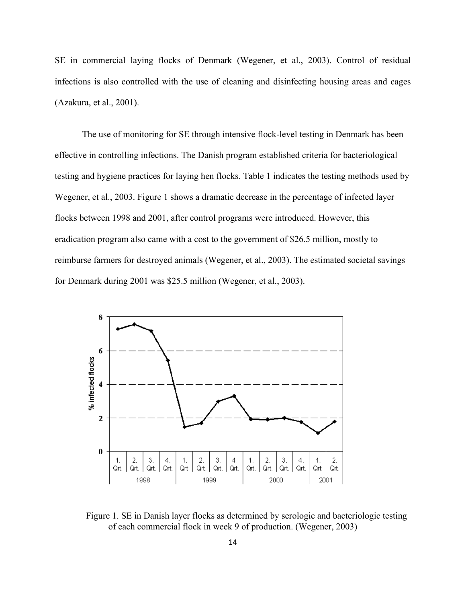SE in commercial laying flocks of Denmark (Wegener, et al., 2003). Control of residual infections is also controlled with the use of cleaning and disinfecting housing areas and cages (Azakura, et al., 2001).

The use of monitoring for SE through intensive flock-level testing in Denmark has been effective in controlling infections. The Danish program established criteria for bacteriological testing and hygiene practices for laying hen flocks. Table 1 indicates the testing methods used by Wegener, et al., 2003. Figure 1 shows a dramatic decrease in the percentage of infected layer flocks between 1998 and 2001, after control programs were introduced. However, this eradication program also came with a cost to the government of \$26.5 million, mostly to reimburse farmers for destroyed animals (Wegener, et al., 2003). The estimated societal savings for Denmark during 2001 was \$25.5 million (Wegener, et al., 2003).



Figure 1. SE in Danish layer flocks as determined by serologic and bacteriologic testing of each commercial flock in week 9 of production. (Wegener, 2003)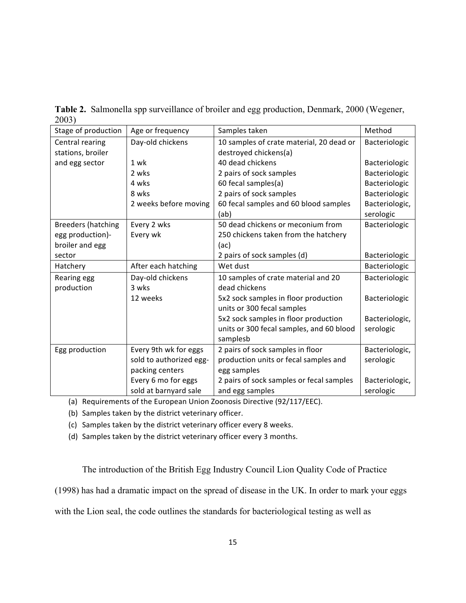|       | Table 2. Salmonella spp surveillance of broiler and egg production, Denmark, 2000 (Wegener, |  |
|-------|---------------------------------------------------------------------------------------------|--|
| 2003) |                                                                                             |  |

| Stage of production       | Age or frequency        | Samples taken                            | Method         |
|---------------------------|-------------------------|------------------------------------------|----------------|
| Central rearing           | Day-old chickens        | 10 samples of crate material, 20 dead or | Bacteriologic  |
| stations, broiler         |                         | destroyed chickens(a)                    |                |
| and egg sector            | 1 wk                    | 40 dead chickens                         | Bacteriologic  |
|                           | 2 wks                   | 2 pairs of sock samples                  | Bacteriologic  |
|                           | 4 wks                   | 60 fecal samples(a)                      | Bacteriologic  |
|                           | 8 wks                   | 2 pairs of sock samples                  | Bacteriologic  |
|                           | 2 weeks before moving   | 60 fecal samples and 60 blood samples    | Bacteriologic, |
|                           |                         | (ab)                                     | serologic      |
| <b>Breeders (hatching</b> | Every 2 wks             | 50 dead chickens or meconium from        | Bacteriologic  |
| egg production)-          | Every wk                | 250 chickens taken from the hatchery     |                |
| broiler and egg           |                         | (ac)                                     |                |
| sector                    |                         | 2 pairs of sock samples (d)              | Bacteriologic  |
| Hatchery                  | After each hatching     | Wet dust                                 | Bacteriologic  |
| Rearing egg               | Day-old chickens        | 10 samples of crate material and 20      | Bacteriologic  |
| production                | 3 wks                   | dead chickens                            |                |
|                           | 12 weeks                | 5x2 sock samples in floor production     | Bacteriologic  |
|                           |                         | units or 300 fecal samples               |                |
|                           |                         | 5x2 sock samples in floor production     | Bacteriologic, |
|                           |                         | units or 300 fecal samples, and 60 blood | serologic      |
|                           |                         | samplesb                                 |                |
| Egg production            | Every 9th wk for eggs   | 2 pairs of sock samples in floor         | Bacteriologic, |
|                           | sold to authorized egg- | production units or fecal samples and    | serologic      |
|                           | packing centers         | egg samples                              |                |
|                           | Every 6 mo for eggs     | 2 pairs of sock samples or fecal samples | Bacteriologic, |
|                           | sold at barnyard sale   | and egg samples                          | serologic      |

(a) Requirements of the European Union Zoonosis Directive (92/117/EEC).

(b) Samples taken by the district veterinary officer.

(c) Samples taken by the district veterinary officer every 8 weeks.

(d) Samples taken by the district veterinary officer every 3 months.

The introduction of the British Egg Industry Council Lion Quality Code of Practice

(1998) has had a dramatic impact on the spread of disease in the UK. In order to mark your eggs

with the Lion seal, the code outlines the standards for bacteriological testing as well as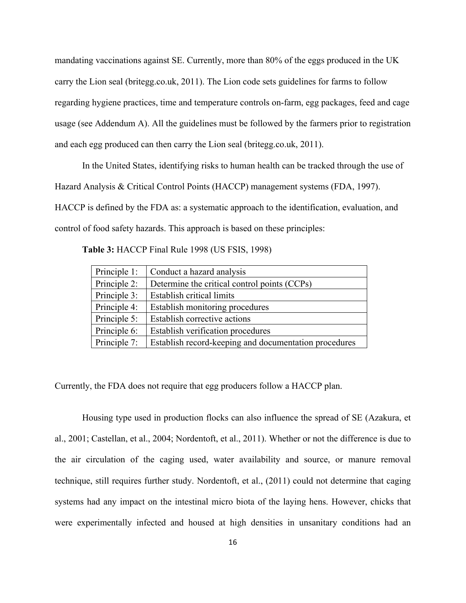mandating vaccinations against SE. Currently, more than 80% of the eggs produced in the UK carry the Lion seal (britegg.co.uk, 2011). The Lion code sets guidelines for farms to follow regarding hygiene practices, time and temperature controls on-farm, egg packages, feed and cage usage (see Addendum A). All the guidelines must be followed by the farmers prior to registration and each egg produced can then carry the Lion seal (britegg.co.uk, 2011).

In the United States, identifying risks to human health can be tracked through the use of Hazard Analysis & Critical Control Points (HACCP) management systems (FDA, 1997). HACCP is defined by the FDA as: a systematic approach to the identification, evaluation, and control of food safety hazards. This approach is based on these principles:

**Table 3:** HACCP Final Rule 1998 (US FSIS, 1998)

| Principle 1:                                                 | Conduct a hazard analysis                             |  |  |
|--------------------------------------------------------------|-------------------------------------------------------|--|--|
| Principle 2:<br>Determine the critical control points (CCPs) |                                                       |  |  |
| Principle 3:                                                 | Establish critical limits                             |  |  |
| Principle 4:                                                 | Establish monitoring procedures                       |  |  |
| Principle 5:                                                 | Establish corrective actions                          |  |  |
| Principle 6:                                                 | Establish verification procedures                     |  |  |
| Principle 7:                                                 | Establish record-keeping and documentation procedures |  |  |

Currently, the FDA does not require that egg producers follow a HACCP plan.

Housing type used in production flocks can also influence the spread of SE (Azakura, et al., 2001; Castellan, et al., 2004; Nordentoft, et al., 2011). Whether or not the difference is due to the air circulation of the caging used, water availability and source, or manure removal technique, still requires further study. Nordentoft, et al., (2011) could not determine that caging systems had any impact on the intestinal micro biota of the laying hens. However, chicks that were experimentally infected and housed at high densities in unsanitary conditions had an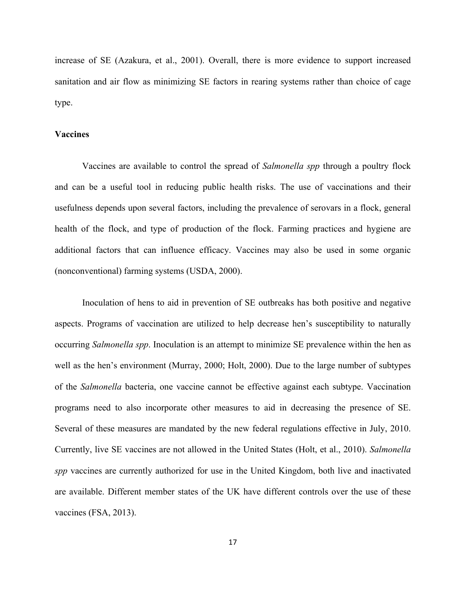increase of SE (Azakura, et al., 2001). Overall, there is more evidence to support increased sanitation and air flow as minimizing SE factors in rearing systems rather than choice of cage type.

# **Vaccines**

Vaccines are available to control the spread of *Salmonella spp* through a poultry flock and can be a useful tool in reducing public health risks. The use of vaccinations and their usefulness depends upon several factors, including the prevalence of serovars in a flock, general health of the flock, and type of production of the flock. Farming practices and hygiene are additional factors that can influence efficacy. Vaccines may also be used in some organic (nonconventional) farming systems (USDA, 2000).

Inoculation of hens to aid in prevention of SE outbreaks has both positive and negative aspects. Programs of vaccination are utilized to help decrease hen's susceptibility to naturally occurring *Salmonella spp*. Inoculation is an attempt to minimize SE prevalence within the hen as well as the hen's environment (Murray, 2000; Holt, 2000). Due to the large number of subtypes of the *Salmonella* bacteria, one vaccine cannot be effective against each subtype. Vaccination programs need to also incorporate other measures to aid in decreasing the presence of SE. Several of these measures are mandated by the new federal regulations effective in July, 2010. Currently, live SE vaccines are not allowed in the United States (Holt, et al., 2010). *Salmonella spp* vaccines are currently authorized for use in the United Kingdom, both live and inactivated are available. Different member states of the UK have different controls over the use of these vaccines (FSA, 2013).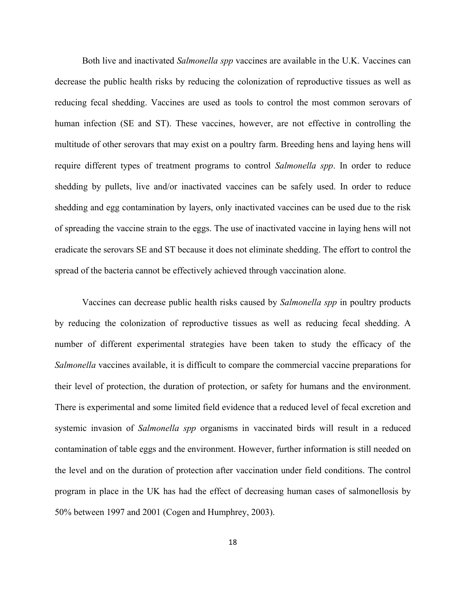Both live and inactivated *Salmonella spp* vaccines are available in the U.K. Vaccines can decrease the public health risks by reducing the colonization of reproductive tissues as well as reducing fecal shedding. Vaccines are used as tools to control the most common serovars of human infection (SE and ST). These vaccines, however, are not effective in controlling the multitude of other serovars that may exist on a poultry farm. Breeding hens and laying hens will require different types of treatment programs to control *Salmonella spp*. In order to reduce shedding by pullets, live and/or inactivated vaccines can be safely used. In order to reduce shedding and egg contamination by layers, only inactivated vaccines can be used due to the risk of spreading the vaccine strain to the eggs. The use of inactivated vaccine in laying hens will not eradicate the serovars SE and ST because it does not eliminate shedding. The effort to control the spread of the bacteria cannot be effectively achieved through vaccination alone.

Vaccines can decrease public health risks caused by *Salmonella spp* in poultry products by reducing the colonization of reproductive tissues as well as reducing fecal shedding. A number of different experimental strategies have been taken to study the efficacy of the *Salmonella* vaccines available, it is difficult to compare the commercial vaccine preparations for their level of protection, the duration of protection, or safety for humans and the environment. There is experimental and some limited field evidence that a reduced level of fecal excretion and systemic invasion of *Salmonella spp* organisms in vaccinated birds will result in a reduced contamination of table eggs and the environment. However, further information is still needed on the level and on the duration of protection after vaccination under field conditions. The control program in place in the UK has had the effect of decreasing human cases of salmonellosis by 50% between 1997 and 2001 (Cogen and Humphrey, 2003).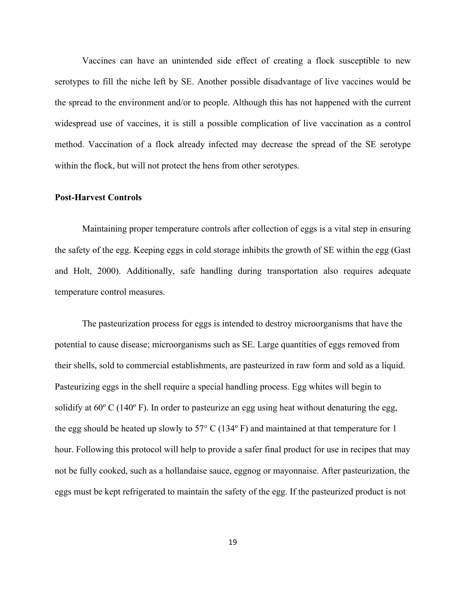Vaccines can have an unintended side effect of creating a flock susceptible to new serotypes to fill the niche left by SE. Another possible disadvantage of live vaccines would be the spread to the environment and/or to people. Although this has not happened with the current widespread use of vaccines, it is still a possible complication of live vaccination as a control method. Vaccination of a flock already infected may decrease the spread of the SE serotype within the flock, but will not protect the hens from other serotypes.

# **Post-Harvest Controls**

Maintaining proper temperature controls after collection of eggs is a vital step in ensuring the safety of the egg. Keeping eggs in cold storage inhibits the growth of SE within the egg (Gast and Holt, 2000). Additionally, safe handling during transportation also requires adequate temperature control measures.

The pasteurization process for eggs is intended to destroy microorganisms that have the potential to cause disease; microorganisms such as SE. Large quantities of eggs removed from their shells, sold to commercial establishments, are pasteurized in raw form and sold as a liquid. Pasteurizing eggs in the shell require a special handling process. Egg whites will begin to solidify at  $60^{\circ}$  C (140 $^{\circ}$  F). In order to pasteurize an egg using heat without denaturing the egg, the egg should be heated up slowly to 57 $\degree$  C (134 $\degree$  F) and maintained at that temperature for 1 hour. Following this protocol will help to provide a safer final product for use in recipes that may not be fully cooked, such as a hollandaise sauce, eggnog or mayonnaise. After pasteurization, the eggs must be kept refrigerated to maintain the safety of the egg. If the pasteurized product is not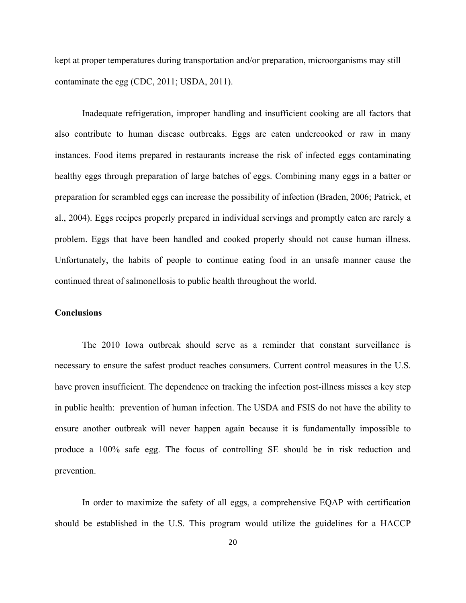kept at proper temperatures during transportation and/or preparation, microorganisms may still contaminate the egg (CDC, 2011; USDA, 2011).

Inadequate refrigeration, improper handling and insufficient cooking are all factors that also contribute to human disease outbreaks. Eggs are eaten undercooked or raw in many instances. Food items prepared in restaurants increase the risk of infected eggs contaminating healthy eggs through preparation of large batches of eggs. Combining many eggs in a batter or preparation for scrambled eggs can increase the possibility of infection (Braden, 2006; Patrick, et al., 2004). Eggs recipes properly prepared in individual servings and promptly eaten are rarely a problem. Eggs that have been handled and cooked properly should not cause human illness. Unfortunately, the habits of people to continue eating food in an unsafe manner cause the continued threat of salmonellosis to public health throughout the world.

#### **Conclusions**

The 2010 Iowa outbreak should serve as a reminder that constant surveillance is necessary to ensure the safest product reaches consumers. Current control measures in the U.S. have proven insufficient. The dependence on tracking the infection post-illness misses a key step in public health: prevention of human infection. The USDA and FSIS do not have the ability to ensure another outbreak will never happen again because it is fundamentally impossible to produce a 100% safe egg. The focus of controlling SE should be in risk reduction and prevention.

In order to maximize the safety of all eggs, a comprehensive EQAP with certification should be established in the U.S. This program would utilize the guidelines for a HACCP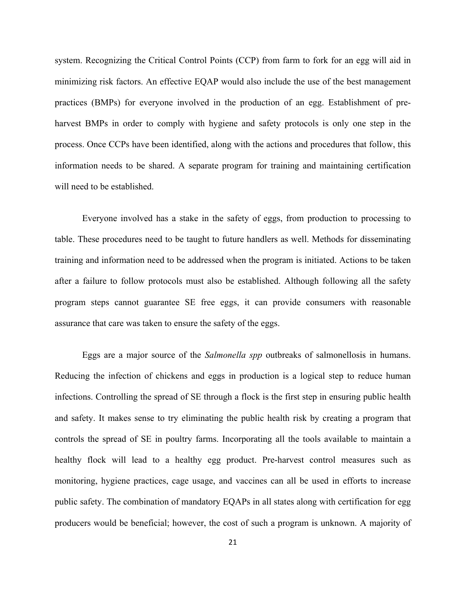system. Recognizing the Critical Control Points (CCP) from farm to fork for an egg will aid in minimizing risk factors. An effective EQAP would also include the use of the best management practices (BMPs) for everyone involved in the production of an egg. Establishment of preharvest BMPs in order to comply with hygiene and safety protocols is only one step in the process. Once CCPs have been identified, along with the actions and procedures that follow, this information needs to be shared. A separate program for training and maintaining certification will need to be established.

Everyone involved has a stake in the safety of eggs, from production to processing to table. These procedures need to be taught to future handlers as well. Methods for disseminating training and information need to be addressed when the program is initiated. Actions to be taken after a failure to follow protocols must also be established. Although following all the safety program steps cannot guarantee SE free eggs, it can provide consumers with reasonable assurance that care was taken to ensure the safety of the eggs.

Eggs are a major source of the *Salmonella spp* outbreaks of salmonellosis in humans. Reducing the infection of chickens and eggs in production is a logical step to reduce human infections. Controlling the spread of SE through a flock is the first step in ensuring public health and safety. It makes sense to try eliminating the public health risk by creating a program that controls the spread of SE in poultry farms. Incorporating all the tools available to maintain a healthy flock will lead to a healthy egg product. Pre-harvest control measures such as monitoring, hygiene practices, cage usage, and vaccines can all be used in efforts to increase public safety. The combination of mandatory EQAPs in all states along with certification for egg producers would be beneficial; however, the cost of such a program is unknown. A majority of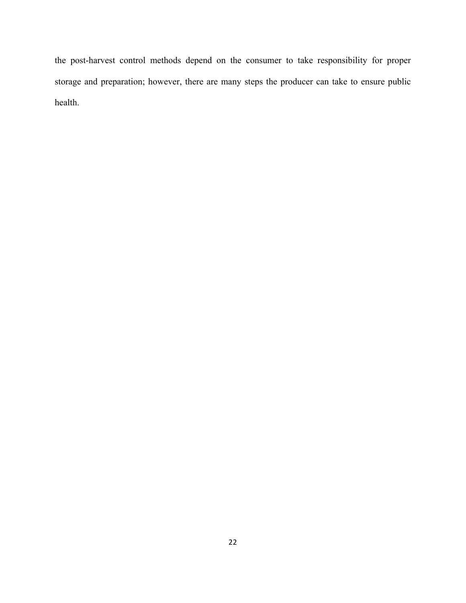the post-harvest control methods depend on the consumer to take responsibility for proper storage and preparation; however, there are many steps the producer can take to ensure public health.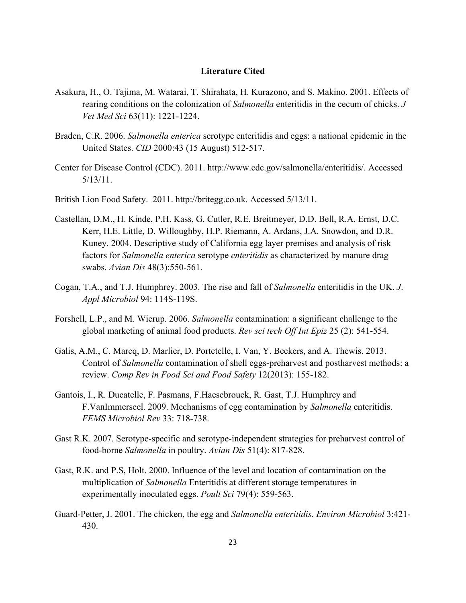# **Literature Cited**

- Asakura, H., O. Tajima, M. Watarai, T. Shirahata, H. Kurazono, and S. Makino. 2001. Effects of rearing conditions on the colonization of *Salmonella* enteritidis in the cecum of chicks. *J Vet Med Sci* 63(11): 1221-1224.
- Braden, C.R. 2006. *Salmonella enterica* serotype enteritidis and eggs: a national epidemic in the United States. *CID* 2000:43 (15 August) 512-517.
- Center for Disease Control (CDC). 2011. http://www.cdc.gov/salmonella/enteritidis/. Accessed 5/13/11.
- British Lion Food Safety. 2011. http://britegg.co.uk. Accessed 5/13/11.
- Castellan, D.M., H. Kinde, P.H. Kass, G. Cutler, R.E. Breitmeyer, D.D. Bell, R.A. Ernst, D.C. Kerr, H.E. Little, D. Willoughby, H.P. Riemann, A. Ardans, J.A. Snowdon, and D.R. Kuney. 2004. Descriptive study of California egg layer premises and analysis of risk factors for *Salmonella enterica* serotype *enteritidis* as characterized by manure drag swabs. *Avian Dis* 48(3):550-561.
- Cogan, T.A., and T.J. Humphrey. 2003. The rise and fall of *Salmonella* enteritidis in the UK. *J*. *Appl Microbiol* 94: 114S-119S.
- Forshell, L.P., and M. Wierup. 2006. *Salmonella* contamination: a significant challenge to the global marketing of animal food products. *Rev sci tech Off Int Epiz* 25 (2): 541-554.
- Galis, A.M., C. Marcq, D. Marlier, D. Portetelle, I. Van, Y. Beckers, and A. Thewis. 2013. Control of *Salmonella* contamination of shell eggs-preharvest and postharvest methods: a review. *Comp Rev in Food Sci and Food Safety* 12(2013): 155-182.
- Gantois, I., R. Ducatelle, F. Pasmans, F.Haesebrouck, R. Gast, T.J. Humphrey and F.VanImmerseel. 2009. Mechanisms of egg contamination by *Salmonella* enteritidis. *FEMS Microbiol Rev* 33: 718-738.
- Gast R.K. 2007. Serotype-specific and serotype-independent strategies for preharvest control of food-borne *Salmonella* in poultry. *Avian Dis* 51(4): 817-828.
- Gast, R.K. and P.S, Holt. 2000. Influence of the level and location of contamination on the multiplication of *Salmonella* Enteritidis at different storage temperatures in experimentally inoculated eggs. *Poult Sci* 79(4): 559-563.
- Guard-Petter, J. 2001. The chicken, the egg and *Salmonella enteritidis. Environ Microbiol* 3:421- 430.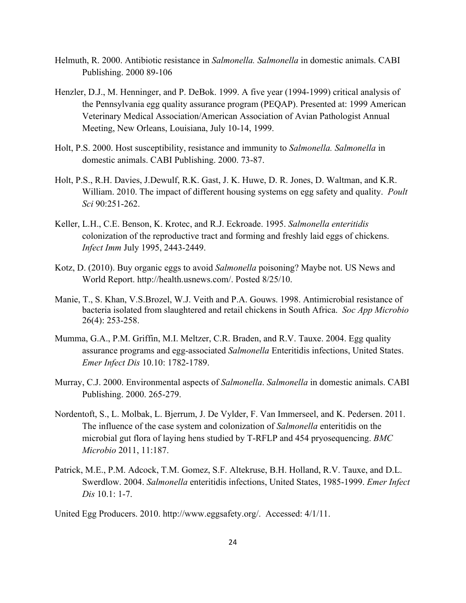- Helmuth, R. 2000. Antibiotic resistance in *Salmonella. Salmonella* in domestic animals. CABI Publishing. 2000 89-106
- Henzler, D.J., M. Henninger, and P. DeBok. 1999. A five year (1994-1999) critical analysis of the Pennsylvania egg quality assurance program (PEQAP). Presented at: 1999 American Veterinary Medical Association/American Association of Avian Pathologist Annual Meeting, New Orleans, Louisiana, July 10-14, 1999.
- Holt, P.S. 2000. Host susceptibility, resistance and immunity to *Salmonella. Salmonella* in domestic animals. CABI Publishing. 2000. 73-87.
- Holt, P.S., R.H. Davies, J.Dewulf, R.K. Gast, J. K. Huwe, D. R. Jones, D. Waltman, and K.R. William. 2010. The impact of different housing systems on egg safety and quality. *Poult Sci* 90:251-262.
- Keller, L.H., C.E. Benson, K. Krotec, and R.J. Eckroade. 1995. *Salmonella enteritidis* colonization of the reproductive tract and forming and freshly laid eggs of chickens. *Infect Imm* July 1995, 2443-2449.
- Kotz, D. (2010). Buy organic eggs to avoid *Salmonella* poisoning? Maybe not. US News and World Report. http://health.usnews.com/. Posted 8/25/10.
- Manie, T., S. Khan, V.S.Brozel, W.J. Veith and P.A. Gouws. 1998. Antimicrobial resistance of bacteria isolated from slaughtered and retail chickens in South Africa. *Soc App Microbio* 26(4): 253-258.
- Mumma, G.A., P.M. Griffin, M.I. Meltzer, C.R. Braden, and R.V. Tauxe. 2004. Egg quality assurance programs and egg-associated *Salmonella* Enteritidis infections, United States. *Emer Infect Dis* 10.10: 1782-1789.
- Murray, C.J. 2000. Environmental aspects of *Salmonella*. *Salmonella* in domestic animals. CABI Publishing. 2000. 265-279.
- Nordentoft, S., L. Molbak, L. Bjerrum, J. De Vylder, F. Van Immerseel, and K. Pedersen. 2011. The influence of the case system and colonization of *Salmonella* enteritidis on the microbial gut flora of laying hens studied by T-RFLP and 454 pryosequencing. *BMC Microbio* 2011, 11:187.
- Patrick, M.E., P.M. Adcock, T.M. Gomez, S.F. Altekruse, B.H. Holland, R.V. Tauxe, and D.L. Swerdlow. 2004. *Salmonella* enteritidis infections, United States, 1985-1999. *Emer Infect Dis* 10.1: 1-7.

United Egg Producers. 2010. http://www.eggsafety.org/. Accessed: 4/1/11.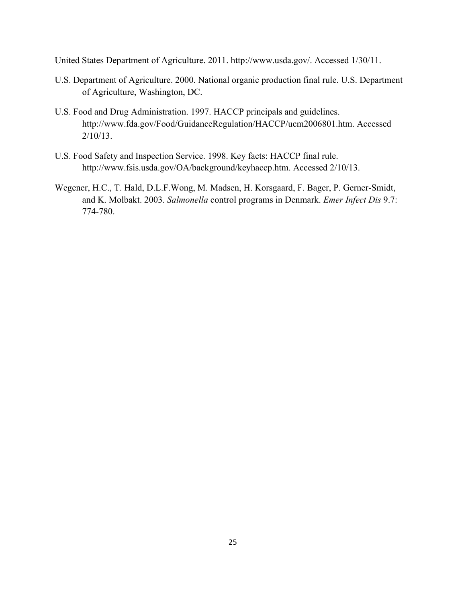United States Department of Agriculture. 2011. http://www.usda.gov/. Accessed 1/30/11.

- U.S. Department of Agriculture. 2000. National organic production final rule. U.S. Department of Agriculture, Washington, DC.
- U.S. Food and Drug Administration. 1997. HACCP principals and guidelines. http://www.fda.gov/Food/GuidanceRegulation/HACCP/ucm2006801.htm. Accessed 2/10/13.
- U.S. Food Safety and Inspection Service. 1998. Key facts: HACCP final rule. http://www.fsis.usda.gov/OA/background/keyhaccp.htm. Accessed 2/10/13.
- Wegener, H.C., T. Hald, D.L.F.Wong, M. Madsen, H. Korsgaard, F. Bager, P. Gerner-Smidt, and K. Molbakt. 2003. *Salmonella* control programs in Denmark. *Emer Infect Dis* 9.7: 774-780.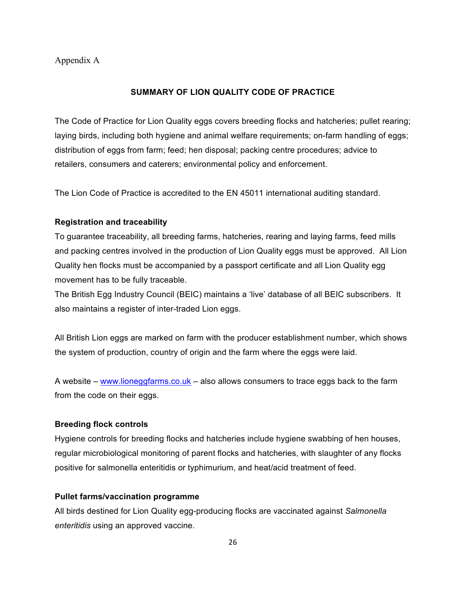# Appendix A

#### **SUMMARY OF LION QUALITY CODE OF PRACTICE**

The Code of Practice for Lion Quality eggs covers breeding flocks and hatcheries; pullet rearing; laying birds, including both hygiene and animal welfare requirements; on-farm handling of eggs; distribution of eggs from farm; feed; hen disposal; packing centre procedures; advice to retailers, consumers and caterers; environmental policy and enforcement.

The Lion Code of Practice is accredited to the EN 45011 international auditing standard.

# **Registration and traceability**

To guarantee traceability, all breeding farms, hatcheries, rearing and laying farms, feed mills and packing centres involved in the production of Lion Quality eggs must be approved. All Lion Quality hen flocks must be accompanied by a passport certificate and all Lion Quality egg movement has to be fully traceable.

The British Egg Industry Council (BEIC) maintains a 'live' database of all BEIC subscribers. It also maintains a register of inter-traded Lion eggs.

All British Lion eggs are marked on farm with the producer establishment number, which shows the system of production, country of origin and the farm where the eggs were laid.

A website – www.lioneggfarms.co.uk – also allows consumers to trace eggs back to the farm from the code on their eggs.

#### **Breeding flock controls**

Hygiene controls for breeding flocks and hatcheries include hygiene swabbing of hen houses, regular microbiological monitoring of parent flocks and hatcheries, with slaughter of any flocks positive for salmonella enteritidis or typhimurium, and heat/acid treatment of feed.

#### **Pullet farms/vaccination programme**

All birds destined for Lion Quality egg-producing flocks are vaccinated against *Salmonella enteritidis* using an approved vaccine.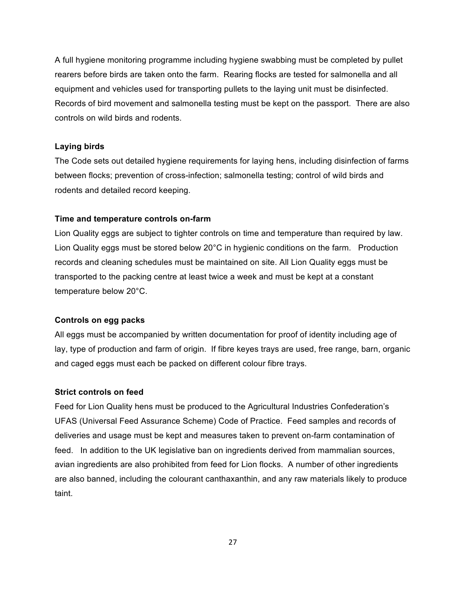A full hygiene monitoring programme including hygiene swabbing must be completed by pullet rearers before birds are taken onto the farm. Rearing flocks are tested for salmonella and all equipment and vehicles used for transporting pullets to the laying unit must be disinfected. Records of bird movement and salmonella testing must be kept on the passport. There are also controls on wild birds and rodents.

#### **Laying birds**

The Code sets out detailed hygiene requirements for laying hens, including disinfection of farms between flocks; prevention of cross-infection; salmonella testing; control of wild birds and rodents and detailed record keeping.

#### **Time and temperature controls on-farm**

Lion Quality eggs are subject to tighter controls on time and temperature than required by law. Lion Quality eggs must be stored below 20°C in hygienic conditions on the farm. Production records and cleaning schedules must be maintained on site. All Lion Quality eggs must be transported to the packing centre at least twice a week and must be kept at a constant temperature below 20°C.

#### **Controls on egg packs**

All eggs must be accompanied by written documentation for proof of identity including age of lay, type of production and farm of origin. If fibre keyes trays are used, free range, barn, organic and caged eggs must each be packed on different colour fibre trays.

#### **Strict controls on feed**

Feed for Lion Quality hens must be produced to the Agricultural Industries Confederation's UFAS (Universal Feed Assurance Scheme) Code of Practice. Feed samples and records of deliveries and usage must be kept and measures taken to prevent on-farm contamination of feed. In addition to the UK legislative ban on ingredients derived from mammalian sources, avian ingredients are also prohibited from feed for Lion flocks. A number of other ingredients are also banned, including the colourant canthaxanthin, and any raw materials likely to produce taint.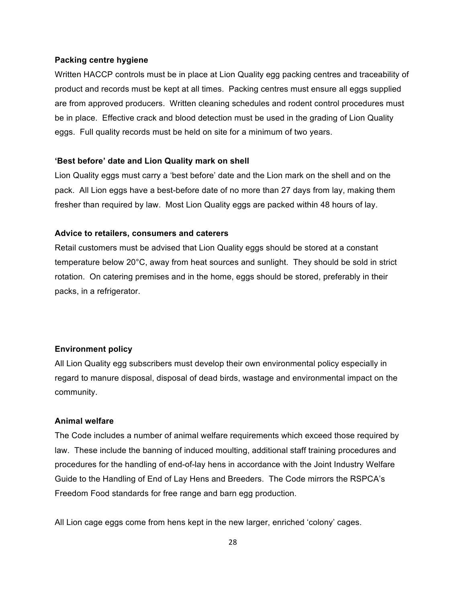#### **Packing centre hygiene**

Written HACCP controls must be in place at Lion Quality egg packing centres and traceability of product and records must be kept at all times. Packing centres must ensure all eggs supplied are from approved producers. Written cleaning schedules and rodent control procedures must be in place. Effective crack and blood detection must be used in the grading of Lion Quality eggs. Full quality records must be held on site for a minimum of two years.

#### **'Best before' date and Lion Quality mark on shell**

Lion Quality eggs must carry a 'best before' date and the Lion mark on the shell and on the pack. All Lion eggs have a best-before date of no more than 27 days from lay, making them fresher than required by law. Most Lion Quality eggs are packed within 48 hours of lay.

#### **Advice to retailers, consumers and caterers**

Retail customers must be advised that Lion Quality eggs should be stored at a constant temperature below 20°C, away from heat sources and sunlight. They should be sold in strict rotation. On catering premises and in the home, eggs should be stored, preferably in their packs, in a refrigerator.

#### **Environment policy**

All Lion Quality egg subscribers must develop their own environmental policy especially in regard to manure disposal, disposal of dead birds, wastage and environmental impact on the community.

#### **Animal welfare**

The Code includes a number of animal welfare requirements which exceed those required by law. These include the banning of induced moulting, additional staff training procedures and procedures for the handling of end-of-lay hens in accordance with the Joint Industry Welfare Guide to the Handling of End of Lay Hens and Breeders. The Code mirrors the RSPCA's Freedom Food standards for free range and barn egg production.

All Lion cage eggs come from hens kept in the new larger, enriched 'colony' cages.